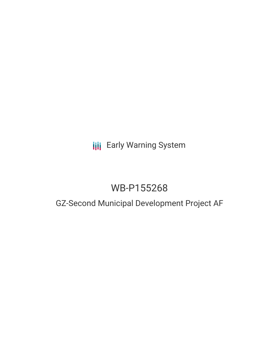## **III** Early Warning System

# WB-P155268

### GZ-Second Municipal Development Project AF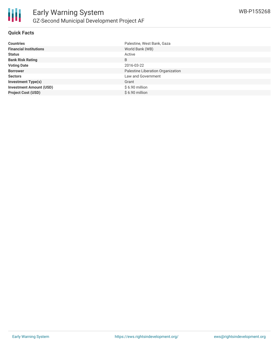

#### **Quick Facts**

| <b>Countries</b>               | Palestine, West Bank, Gaza        |
|--------------------------------|-----------------------------------|
| <b>Financial Institutions</b>  | World Bank (WB)                   |
| <b>Status</b>                  | Active                            |
| <b>Bank Risk Rating</b>        | B                                 |
| <b>Voting Date</b>             | 2016-03-22                        |
| <b>Borrower</b>                | Palestine Liberation Organization |
| <b>Sectors</b>                 | Law and Government                |
| <b>Investment Type(s)</b>      | Grant                             |
| <b>Investment Amount (USD)</b> | $$6.90$ million                   |
| <b>Project Cost (USD)</b>      | $$6.90$ million                   |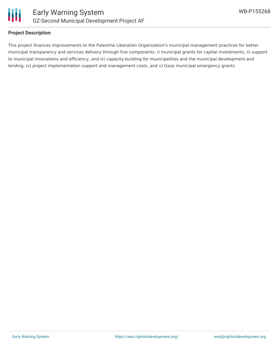



#### **Project Description**

This project finances improvements to the Palestine Liberation Organization's municipal management practices for better municipal transparency and services delivery through five components: i) municipal grants for capital investments, ii) support to municipal innovations and efficiency, and iii) capacity-building for municipalities and the municipal development and lending, iv) project implementation support and management costs, and v) Gaza municipal emergency grants.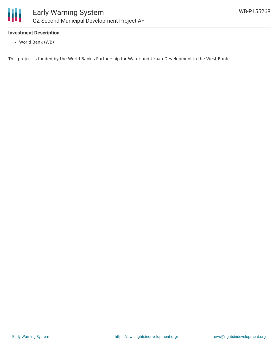

#### **Investment Description**

World Bank (WB)

This project is funded by the World Bank's Partnership for Water and Urban Development in the West Bank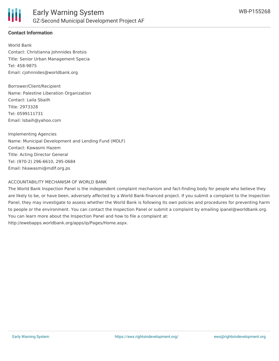

#### **Contact Information**

World Bank Contact: Christianna Johnnides Brotsis Title: Senior Urban Management Specia Tel: 458-9875 Email: cjohnnides@worldbank.org

Borrower/Client/Recipient Name: Palestine Liberation Organization Contact: Laila Sbailh Title: 2973328 Tel: 0599111731 Email: lsbaih@yahoo.com

Implementing Agencies Name: Municipal Development and Lending Fund (MDLF) Contact: Kawasmi Hazem Title: Acting Director General Tel: (970-2) 296-6610, 295-0684 Email: hkawasmi@mdlf.org.ps

#### ACCOUNTABILITY MECHANISM OF WORLD BANK

The World Bank Inspection Panel is the independent complaint mechanism and fact-finding body for people who believe they are likely to be, or have been, adversely affected by a World Bank-financed project. If you submit a complaint to the Inspection Panel, they may investigate to assess whether the World Bank is following its own policies and procedures for preventing harm to people or the environment. You can contact the Inspection Panel or submit a complaint by emailing ipanel@worldbank.org. You can learn more about the Inspection Panel and how to file a complaint at: http://ewebapps.worldbank.org/apps/ip/Pages/Home.aspx.